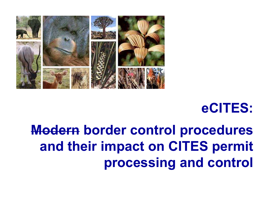

# eCITES:

# Modern border control procedures and their impact on CITES permit processing and control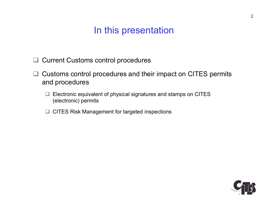### In this presentation

- **□ Current Customs control procedures**
- $\Box$  Customs control procedures and their impact on CITES permits and procedures
	- $\Box$  Electronic equivalent of physical signatures and stamps on CITES (electronic) permits
	- □ CITES Risk Management for targeted inspections

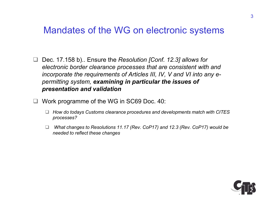#### Mandates of the WG on electronic systems

- □ Dec. 17.158 b).. Ensure the Resolution [Conf. 12.3] allows for electronic border clearance processes that are consistent with and incorporate the requirements of Articles III, IV, V and VI into any epermitting system, examining in particular the issues of presentation and validation
- □ Work programme of the WG in SC69 Doc. 40:
	- $\Box$  How do todays Customs clearance procedures and developments match with CITES processes?
	- □ What changes to Resolutions 11.17 (Rev. CoP17) and 12.3 (Rev. CoP17) would be needed to reflect these changes

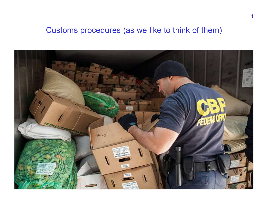#### Customs procedures (as we like to think of them)

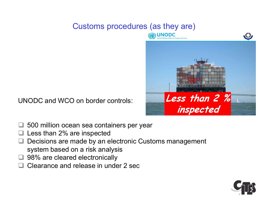#### Customs procedures (as they are)



UNODC and WCO on border controls:

- **□ 500 million ocean sea containers per year**
- Less than 2% are inspected
- Decisions are made by an electronic Customs management system based on a risk analysis
- □ 98% are cleared electronically
- □ Clearance and release in under 2 sec

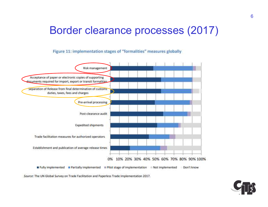## Border clearance processes (2017)

Figure 11: implementation stages of "formalities" measures globally



Source: The UN Global Survey on Trade Facilitation and Paperless Trade Implementation 2017.

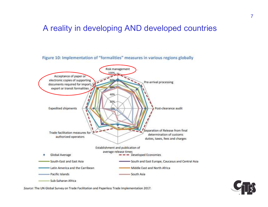#### A reality in developing AND developed countries



Figure 10: Implementation of "formalities" measures in various regions globally

Source: The UN Global Survey on Trade Facilitation and Paperless Trade Implementation 2017.

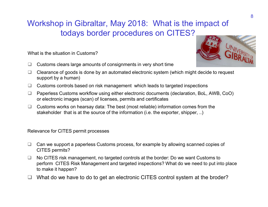#### Workshop in Gibraltar, May 2018: What is the impact of todays border procedures on CITES?

What is the situation in Customs?

 $\Box$  Customs clears large amounts of consignments in very short time



- $\Box$  Clearance of goods is done by an automated electronic system (which might decide to request support by a human)
- $\Box$  Customs controls based on risk management which leads to targeted inspections
- □ Paperless Customs workflow using either electronic documents (declaration, BoL, AWB, CoO) or electronic images (scan) of licenses, permits and certificates
- $\Box$  Customs works on hearsay data: The best (most reliable) information comes from the stakeholder that is at the source of the information (i.e. the exporter, shipper, ..)

Relevance for CITES permit processes

- $\Box$  Can we support a paperless Customs process, for example by allowing scanned copies of CITES permits?
- $\Box$  No CITES risk management, no targeted controls at the border: Do we want Customs to perform CITES Risk Management and targeted inspections? What do we need to put into place to make it happen?
- What do we have to do to get an electronic CITES control system at the broder?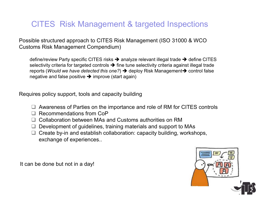#### CITES Risk Management & targeted Inspections

Possible structured approach to CITES Risk Management (ISO 31000 & WCO Customs Risk Management Compendium)

define/review Party specific CITES risks  $\rightarrow$  analyze relevant illegal trade  $\rightarrow$  define CITES selectivity criteria for targeted controls  $\rightarrow$  fine tune selectivity criteria against illegal trade reports (Would we have detected this one?)  $\rightarrow$  deploy Risk Management  $\rightarrow$  control false negative and false positive  $\rightarrow$  improve (start again)

Requires policy support, tools and capacity building

- □ Awareness of Parties on the importance and role of RM for CITES controls
- □ Recommendations from CoP
- □ Collaboration between MAs and Customs authorities on RM
- $\Box$  Development of quidelines, training materials and support to MAs
- $\Box$  Create by-in and establish collaboration: capacity building, workshops, exchange of experiences..

It can be done but not in a day!

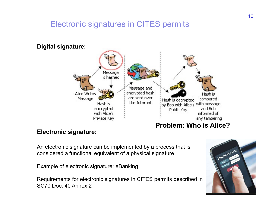#### Electronic signatures in CITES permits



#### Electronic signature:

An electronic signature can be implemented by a process that is considered a functional equivalent of a physical signature considered a functional equivalent of a physical signature

Example of electronic signature: eBanking

Requirements for electronic signatures in CITES permits described in SC70 Doc. 40 Annex 2

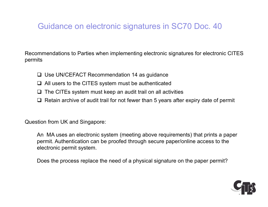#### Guidance on electronic signatures in SC70 Doc. 40

Recommendations to Parties when implementing electronic signatures for electronic CITES permits

- □ Use UN/CEFACT Recommendation 14 as quidance
- $\Box$  All users to the CITES system must be authenticated
- $\Box$  The CITEs system must keep an audit trail on all activities
- $\Box$  Retain archive of audit trail for not fewer than 5 years after expiry date of permit

Question from UK and Singapore:

An MA uses an electronic system (meeting above requirements) that prints a paper permit. Authentication can be proofed through secure paper/online access to the electronic permit system.

Does the process replace the need of a physical signature on the paper permit?

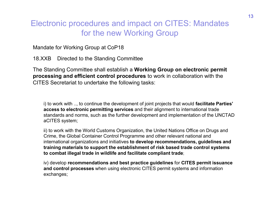# Electronic procedures and impact on CITES: May<br>for the new Working Group<br>Mandate for Working Group at CoP18<br>18.XXB Directed to the Standing Committee<br>The Standing Committee shall establish a **Working Group on electron**<br>pro Electronic procedures and impact on CITES: Mandates for the new Working Group

Mandate for Working Group at CoP18

The Standing Committee shall establish a Working Group on electronic permit processing and efficient control procedures to work in collaboration with the CITES Secretariat to undertake the following tasks:

i) to work with .., to continue the development of joint projects that would **facilitate Parties'** access to electronic permitting services and their alignment to international trade standards and norms, such as the further development and implementation of the UNCTAD aCITES system;

ii) to work with the World Customs Organization, the United Nations Office on Drugs and Crime, the Global Container Control Programme and other relevant national and international organizations and initiatives to develop recommendations, guidelines and training materials to support the establishment of risk based trade control systems to combat illegal trade in wildlife and facilitate compliant trade;

iv) develop recommendations and best practice guidelines for CITES permit issuance and control processes when using electronic CITES permit systems and information exchanges;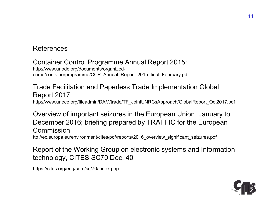#### References

#### Container Control Programme Annual Report 2015: http://www.unodc.org/documents/organizedcrime/containerprogramme/CCP\_Annual\_Report\_2015\_final\_February.pdf

#### Trade Facilitation and Paperless Trade Implementation Global Report 2017 http://www.unece.org/fileadmin/DAM/trade/TF\_JointUNRCsApproach/GlobalReport\_Oct2017.pdf

#### Overview of important seizures in the European Union, January to December 2016; briefing prepared by TRAFFIC for the European Commission

ttp://ec.europa.eu/environment/cites/pdf/reports/2016\_overview\_significant\_seizures.pdf

Report of the Working Group on electronic systems and Information technology, CITES SC70 Doc. 40

https://cites.org/eng/com/sc/70/index.php